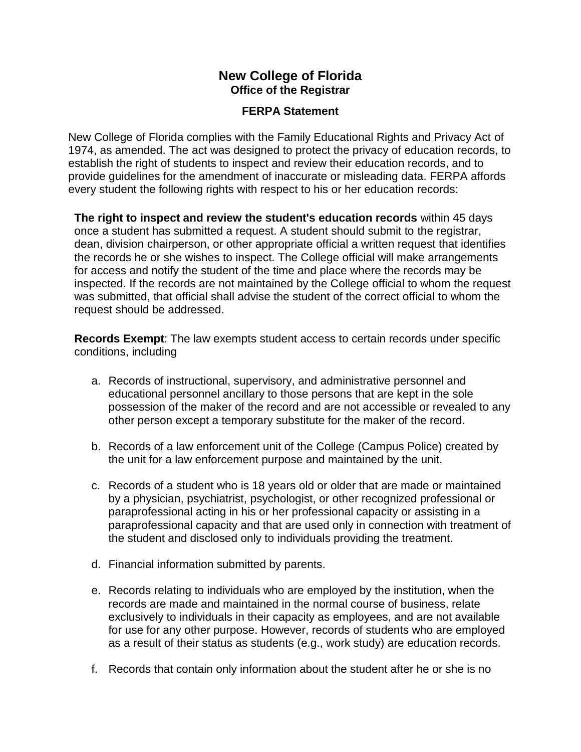## **New College of Florida Office of the Registrar**

## **FERPA Statement**

New College of Florida complies with the Family Educational Rights and Privacy Act of 1974, as amended. The act was designed to protect the privacy of education records, to establish the right of students to inspect and review their education records, and to provide guidelines for the amendment of inaccurate or misleading data. FERPA affords every student the following rights with respect to his or her education records:

**The right to inspect and review the student's education records** within 45 days once a student has submitted a request. A student should submit to the registrar, dean, division chairperson, or other appropriate official a written request that identifies the records he or she wishes to inspect. The College official will make arrangements for access and notify the student of the time and place where the records may be inspected. If the records are not maintained by the College official to whom the request was submitted, that official shall advise the student of the correct official to whom the request should be addressed.

**Records Exempt**: The law exempts student access to certain records under specific conditions, including

- a. Records of instructional, supervisory, and administrative personnel and educational personnel ancillary to those persons that are kept in the sole possession of the maker of the record and are not accessible or revealed to any other person except a temporary substitute for the maker of the record.
- b. Records of a law enforcement unit of the College (Campus Police) created by the unit for a law enforcement purpose and maintained by the unit.
- c. Records of a student who is 18 years old or older that are made or maintained by a physician, psychiatrist, psychologist, or other recognized professional or paraprofessional acting in his or her professional capacity or assisting in a paraprofessional capacity and that are used only in connection with treatment of the student and disclosed only to individuals providing the treatment.
- d. Financial information submitted by parents.
- e. Records relating to individuals who are employed by the institution, when the records are made and maintained in the normal course of business, relate exclusively to individuals in their capacity as employees, and are not available for use for any other purpose. However, records of students who are employed as a result of their status as students (e.g., work study) are education records.
- f. Records that contain only information about the student after he or she is no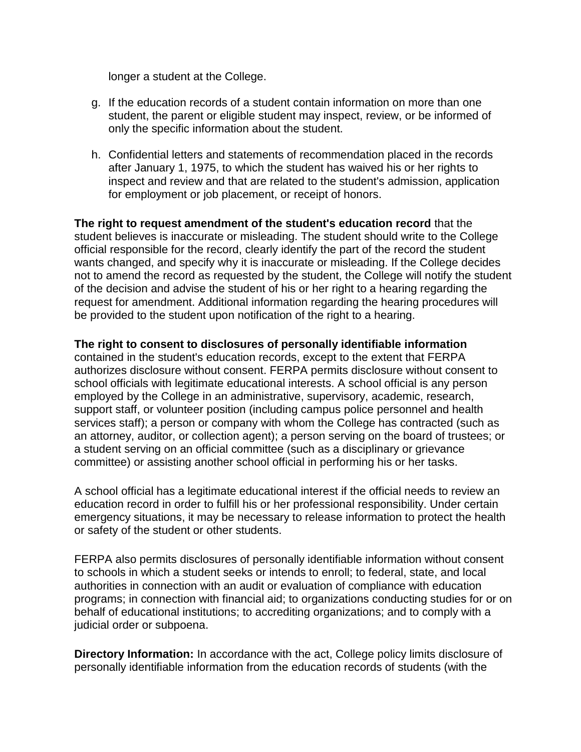longer a student at the College.

- g. If the education records of a student contain information on more than one student, the parent or eligible student may inspect, review, or be informed of only the specific information about the student.
- h. Confidential letters and statements of recommendation placed in the records after January 1, 1975, to which the student has waived his or her rights to inspect and review and that are related to the student's admission, application for employment or job placement, or receipt of honors.

**The right to request amendment of the student's education record** that the student believes is inaccurate or misleading. The student should write to the College official responsible for the record, clearly identify the part of the record the student wants changed, and specify why it is inaccurate or misleading. If the College decides not to amend the record as requested by the student, the College will notify the student of the decision and advise the student of his or her right to a hearing regarding the request for amendment. Additional information regarding the hearing procedures will be provided to the student upon notification of the right to a hearing.

## **The right to consent to disclosures of personally identifiable information**

contained in the student's education records, except to the extent that FERPA authorizes disclosure without consent. FERPA permits disclosure without consent to school officials with legitimate educational interests. A school official is any person employed by the College in an administrative, supervisory, academic, research, support staff, or volunteer position (including campus police personnel and health services staff); a person or company with whom the College has contracted (such as an attorney, auditor, or collection agent); a person serving on the board of trustees; or a student serving on an official committee (such as a disciplinary or grievance committee) or assisting another school official in performing his or her tasks.

A school official has a legitimate educational interest if the official needs to review an education record in order to fulfill his or her professional responsibility. Under certain emergency situations, it may be necessary to release information to protect the health or safety of the student or other students.

FERPA also permits disclosures of personally identifiable information without consent to schools in which a student seeks or intends to enroll; to federal, state, and local authorities in connection with an audit or evaluation of compliance with education programs; in connection with financial aid; to organizations conducting studies for or on behalf of educational institutions; to accrediting organizations; and to comply with a judicial order or subpoena.

**Directory Information:** In accordance with the act, College policy limits disclosure of personally identifiable information from the education records of students (with the